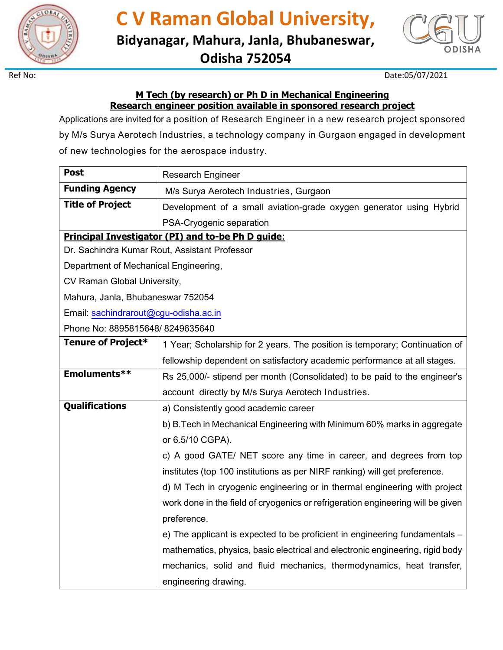

**C V Raman Global University, Bidyanagar, Mahura, Janla, Bhubaneswar, Odisha 752054**



Ref No: Date:05/07/2021

## **M Tech (by research) or Ph D in Mechanical Engineering Research engineer position available in sponsored research project**

Applications are invited for a position of Research Engineer in a new research project sponsored by M/s Surya Aerotech Industries, a technology company in Gurgaon engaged in development of new technologies for the aerospace industry.

| <b>Research Engineer</b>                                                        |  |
|---------------------------------------------------------------------------------|--|
| M/s Surya Aerotech Industries, Gurgaon                                          |  |
| Development of a small aviation-grade oxygen generator using Hybrid             |  |
| PSA-Cryogenic separation                                                        |  |
| <b>Principal Investigator (PI) and to-be Ph D guide:</b>                        |  |
| Dr. Sachindra Kumar Rout, Assistant Professor                                   |  |
| Department of Mechanical Engineering,                                           |  |
| CV Raman Global University,                                                     |  |
| Mahura, Janla, Bhubaneswar 752054                                               |  |
| Email: sachindrarout@cgu-odisha.ac.in                                           |  |
| Phone No: 8895815648/8249635640                                                 |  |
| 1 Year; Scholarship for 2 years. The position is temporary; Continuation of     |  |
| fellowship dependent on satisfactory academic performance at all stages.        |  |
| Rs 25,000/- stipend per month (Consolidated) to be paid to the engineer's       |  |
| account directly by M/s Surya Aerotech Industries.                              |  |
| a) Consistently good academic career                                            |  |
| b) B. Tech in Mechanical Engineering with Minimum 60% marks in aggregate        |  |
| or 6.5/10 CGPA).                                                                |  |
| c) A good GATE/ NET score any time in career, and degrees from top              |  |
| institutes (top 100 institutions as per NIRF ranking) will get preference.      |  |
| d) M Tech in cryogenic engineering or in thermal engineering with project       |  |
| work done in the field of cryogenics or refrigeration engineering will be given |  |
| preference.                                                                     |  |
| e) The applicant is expected to be proficient in engineering fundamentals -     |  |
| mathematics, physics, basic electrical and electronic engineering, rigid body   |  |
| mechanics, solid and fluid mechanics, thermodynamics, heat transfer,            |  |
| engineering drawing.                                                            |  |
|                                                                                 |  |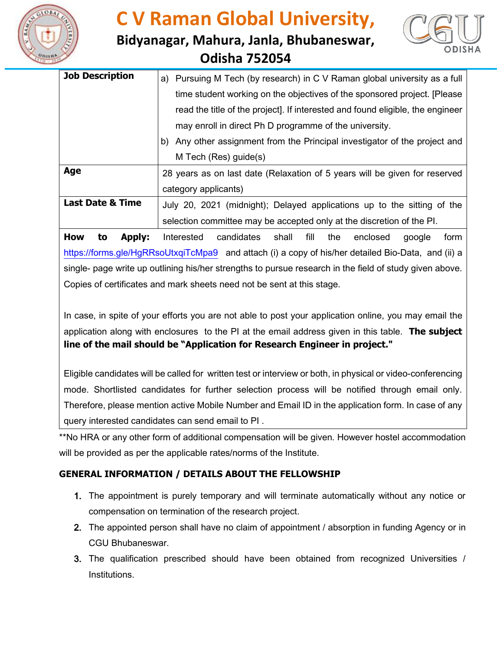

## **C V Raman Global University,**





| <b>Job Description</b>      | a) Pursuing M Tech (by research) in C V Raman global university as a full      |
|-----------------------------|--------------------------------------------------------------------------------|
|                             | time student working on the objectives of the sponsored project. [Please]      |
|                             | read the title of the project]. If interested and found eligible, the engineer |
|                             | may enroll in direct Ph D programme of the university.                         |
|                             | Any other assignment from the Principal investigator of the project and<br>b)  |
|                             | M Tech (Res) guide(s)                                                          |
| Age                         | 28 years as on last date (Relaxation of 5 years will be given for reserved     |
|                             | category applicants)                                                           |
| <b>Last Date &amp; Time</b> | July 20, 2021 (midnight); Delayed applications up to the sitting of the        |
|                             | selection committee may be accepted only at the discretion of the PI.          |
|                             |                                                                                |

**How to Apply:** Interested candidates shall fill the enclosed google form <https://forms.gle/HgRRsoUtxqiTcMpa9> and attach (i) a copy of his/her detailed Bio-Data, and (ii) a single- page write up outlining his/her strengths to pursue research in the field of study given above. Copies of certificates and mark sheets need not be sent at this stage.

In case, in spite of your efforts you are not able to post your application online, you may email the application along with enclosures to the PI at the email address given in this table. **The subject line of the mail should be "Application for Research Engineer in project."**

Eligible candidates will be called for written test or interview or both, in physical or video-conferencing mode. Shortlisted candidates for further selection process will be notified through email only. Therefore, please mention active Mobile Number and Email ID in the application form. In case of any query interested candidates can send email to PI .

\*\*No HRA or any other form of additional compensation will be given. However hostel accommodation will be provided as per the applicable rates/norms of the Institute.

## **GENERAL INFORMATION / DETAILS ABOUT THE FELLOWSHIP**

- 1. The appointment is purely temporary and will terminate automatically without any notice or compensation on termination of the research project.
- 2. The appointed person shall have no claim of appointment / absorption in funding Agency or in CGU Bhubaneswar.
- 3. The qualification prescribed should have been obtained from recognized Universities / Institutions.